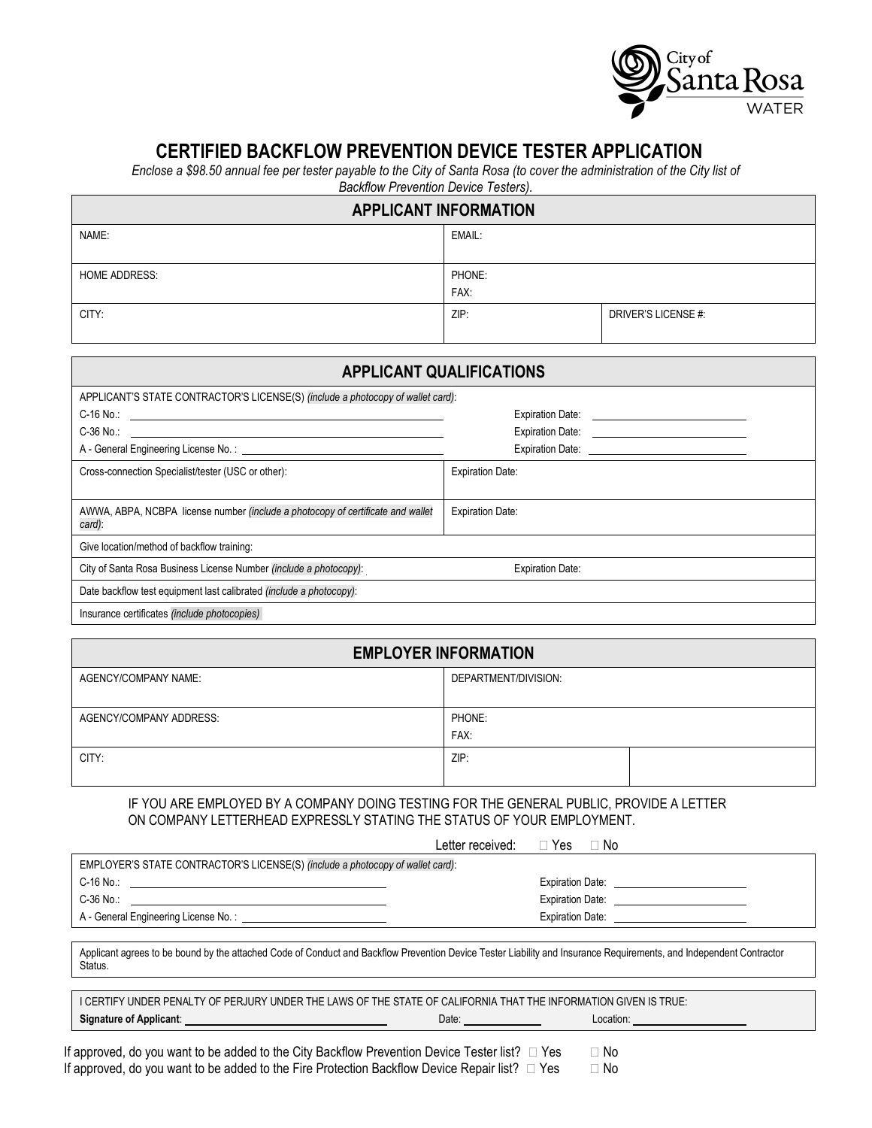

# **CERTIFIED BACKFLOW PREVENTION DEVICE TESTER APPLICATION**

*Enclose a \$98.50 annual fee per tester payable to the City of Santa Rosa (to cover the administration of the City list of*

*Backflow Prevention Device Testers).*

| <b>APPLICANT INFORMATION</b> |        |                     |  |  |
|------------------------------|--------|---------------------|--|--|
| NAME:                        | EMAIL: |                     |  |  |
|                              |        |                     |  |  |
| <b>HOME ADDRESS:</b>         | PHONE: |                     |  |  |
|                              | FAX:   |                     |  |  |
| CITY:                        | ZIP:   | DRIVER'S LICENSE #: |  |  |
|                              |        |                     |  |  |

| <b>APPLICANT QUALIFICATIONS</b>                                                           |                                   |  |  |  |
|-------------------------------------------------------------------------------------------|-----------------------------------|--|--|--|
| APPLICANT'S STATE CONTRACTOR'S LICENSE(S) (include a photocopy of wallet card):           |                                   |  |  |  |
|                                                                                           | Expiration Date:                  |  |  |  |
| C-36 No.:                                                                                 | Expiration Date: Expiration Date: |  |  |  |
| A - General Engineering License No.:                                                      |                                   |  |  |  |
| Cross-connection Specialist/tester (USC or other):                                        | <b>Expiration Date:</b>           |  |  |  |
| AWWA, ABPA, NCBPA license number (include a photocopy of certificate and wallet<br>card): | <b>Expiration Date:</b>           |  |  |  |
| Give location/method of backflow training:                                                |                                   |  |  |  |
| City of Santa Rosa Business License Number (include a photocopy):                         | <b>Expiration Date:</b>           |  |  |  |
| Date backflow test equipment last calibrated (include a photocopy):                       |                                   |  |  |  |
| Incurance cortificator <i>linelude</i> abeteconice)                                       |                                   |  |  |  |

| Insurance certificates (include photocopies) |  |  |
|----------------------------------------------|--|--|
|----------------------------------------------|--|--|

### **EMPLOYER INFORMATION**

| AGENCY/COMPANY NAME:    | DEPARTMENT/DIVISION: |  |
|-------------------------|----------------------|--|
| AGENCY/COMPANY ADDRESS: | PHONE:<br>FAX:       |  |
| CITY:                   | ZIP:                 |  |

#### IF YOU ARE EMPLOYED BY A COMPANY DOING TESTING FOR THE GENERAL PUBLIC, PROVIDE A LETTER ON COMPANY LETTERHEAD EXPRESSLY STATING THE STATUS OF YOUR EMPLOYMENT.

| Letter received:                                                               | ⊦Yes<br>No.             |  |  |
|--------------------------------------------------------------------------------|-------------------------|--|--|
| EMPLOYER'S STATE CONTRACTOR'S LICENSE(S) (include a photocopy of wallet card): |                         |  |  |
| $C-16$ No.:                                                                    | <b>Expiration Date:</b> |  |  |
| $C-36$ No.:                                                                    | <b>Expiration Date:</b> |  |  |
| A - General Engineering License No.:                                           | <b>Expiration Date:</b> |  |  |

Applicant agrees to be bound by the attached Code of Conduct and Backflow Prevention Device Tester Liability and Insurance Requirements, and Independent Contractor Status.

I CERTIFY UNDER PENALTY OF PERJURY UNDER THE LAWS OF THE STATE OF CALIFORNIA THAT THE INFORMATION GIVEN IS TRUE: **Signature of Applicant:** Location: Location: Location: Location: Location: Location: Location: Location: Location:

If approved, do you want to be added to the City Backflow Prevention Device Tester list?  $\Box$  Yes  $\Box$  No If approved, do you want to be added to the Fire Protection Backflow Device Repair list?  $\Box$  Yes  $\Box$  No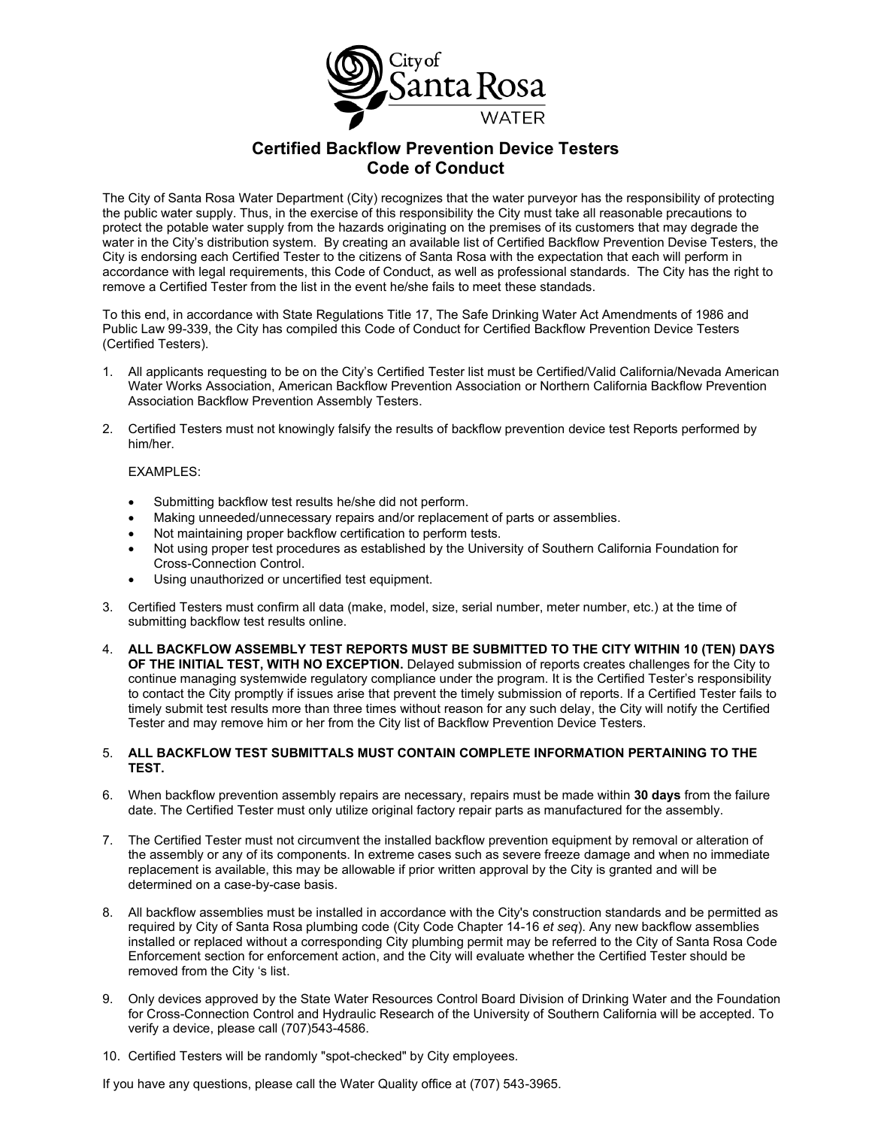

## **Certified Backflow Prevention Device Testers Code of Conduct**

The City of Santa Rosa Water Department (City) recognizes that the water purveyor has the responsibility of protecting the public water supply. Thus, in the exercise of this responsibility the City must take all reasonable precautions to protect the potable water supply from the hazards originating on the premises of its customers that may degrade the water in the City's distribution system. By creating an available list of Certified Backflow Prevention Devise Testers, the City is endorsing each Certified Tester to the citizens of Santa Rosa with the expectation that each will perform in accordance with legal requirements, this Code of Conduct, as well as professional standards. The City has the right to remove a Certified Tester from the list in the event he/she fails to meet these standads.

To this end, in accordance with State Regulations Title 17, The Safe Drinking Water Act Amendments of 1986 and Public Law 99-339, the City has compiled this Code of Conduct for Certified Backflow Prevention Device Testers (Certified Testers).

- 1. All applicants requesting to be on the City's Certified Tester list must be Certified/Valid California/Nevada American Water Works Association, American Backflow Prevention Association or Northern California Backflow Prevention Association Backflow Prevention Assembly Testers.
- 2. Certified Testers must not knowingly falsify the results of backflow prevention device test Reports performed by him/her.

#### EXAMPLES:

- Submitting backflow test results he/she did not perform.
- Making unneeded/unnecessary repairs and/or replacement of parts or assemblies.
- Not maintaining proper backflow certification to perform tests.
- Not using proper test procedures as established by the University of Southern California Foundation for Cross-Connection Control.
- Using unauthorized or uncertified test equipment.
- 3. Certified Testers must confirm all data (make, model, size, serial number, meter number, etc.) at the time of submitting backflow test results online.
- 4. **ALL BACKFLOW ASSEMBLY TEST REPORTS MUST BE SUBMITTED TO THE CITY WITHIN 10 (TEN) DAYS OF THE INITIAL TEST, WITH NO EXCEPTION.** Delayed submission of reports creates challenges for the City to continue managing systemwide regulatory compliance under the program. It is the Certified Tester's responsibility to contact the City promptly if issues arise that prevent the timely submission of reports. If a Certified Tester fails to timely submit test results more than three times without reason for any such delay, the City will notify the Certified Tester and may remove him or her from the City list of Backflow Prevention Device Testers.

#### 5. **ALL BACKFLOW TEST SUBMITTALS MUST CONTAIN COMPLETE INFORMATION PERTAINING TO THE TEST.**

- 6. When backflow prevention assembly repairs are necessary, repairs must be made within **30 days** from the failure date. The Certified Tester must only utilize original factory repair parts as manufactured for the assembly.
- 7. The Certified Tester must not circumvent the installed backflow prevention equipment by removal or alteration of the assembly or any of its components. In extreme cases such as severe freeze damage and when no immediate replacement is available, this may be allowable if prior written approval by the City is granted and will be determined on a case-by-case basis.
- 8. All backflow assemblies must be installed in accordance with the City's construction standards and be permitted as required by City of Santa Rosa plumbing code (City Code Chapter 14-16 *et seq*). Any new backflow assemblies installed or replaced without a corresponding City plumbing permit may be referred to the City of Santa Rosa Code Enforcement section for enforcement action, and the City will evaluate whether the Certified Tester should be removed from the City 's list.
- 9. Only devices approved by the State Water Resources Control Board Division of Drinking Water and the Foundation for Cross-Connection Control and Hydraulic Research of the University of Southern California will be accepted. To verify a device, please call (707)543-4586.
- 10. Certified Testers will be randomly "spot-checked" by City employees.

If you have any questions, please call the Water Quality office at (707) 543-3965.